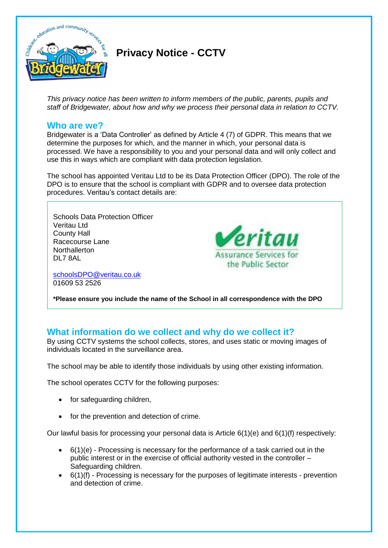

# **Privacy Notice - CCTV**

*This privacy notice has been written to inform members of the public, parents, pupils and staff of Bridgewater, about how and why we process their personal data in relation to CCTV.*

# **Who are we?**

Bridgewater is a 'Data Controller' as defined by Article 4 (7) of GDPR. This means that we determine the purposes for which, and the manner in which, your personal data is processed. We have a responsibility to you and your personal data and will only collect and use this in ways which are compliant with data protection legislation.

The school has appointed Veritau Ltd to be its Data Protection Officer (DPO). The role of the DPO is to ensure that the school is compliant with GDPR and to oversee data protection procedures. Veritau's contact details are:

eritau

**Assurance Services for** the Public Sector

Schools Data Protection Officer Veritau Ltd County Hall Racecourse Lane **Northallerton** DL7 8AL

[schoolsDPO@veritau.co.uk](mailto:schoolsDPO@veritau.co.uk) 01609 53 2526

**\*Please ensure you include the name of the School in all correspondence with the DPO** 

# **What information do we collect and why do we collect it?**

By using CCTV systems the school collects, stores, and uses static or moving images of individuals located in the surveillance area.

The school may be able to identify those individuals by using other existing information.

The school operates CCTV for the following purposes:

- for safeguarding children,
- for the prevention and detection of crime.

Our lawful basis for processing your personal data is Article 6(1)(e) and 6(1)(f) respectively:

- $\bullet$  6(1)(e) Processing is necessary for the performance of a task carried out in the public interest or in the exercise of official authority vested in the controller – Safeguarding children.
- $\bullet$  6(1)(f) Processing is necessary for the purposes of legitimate interests prevention and detection of crime.